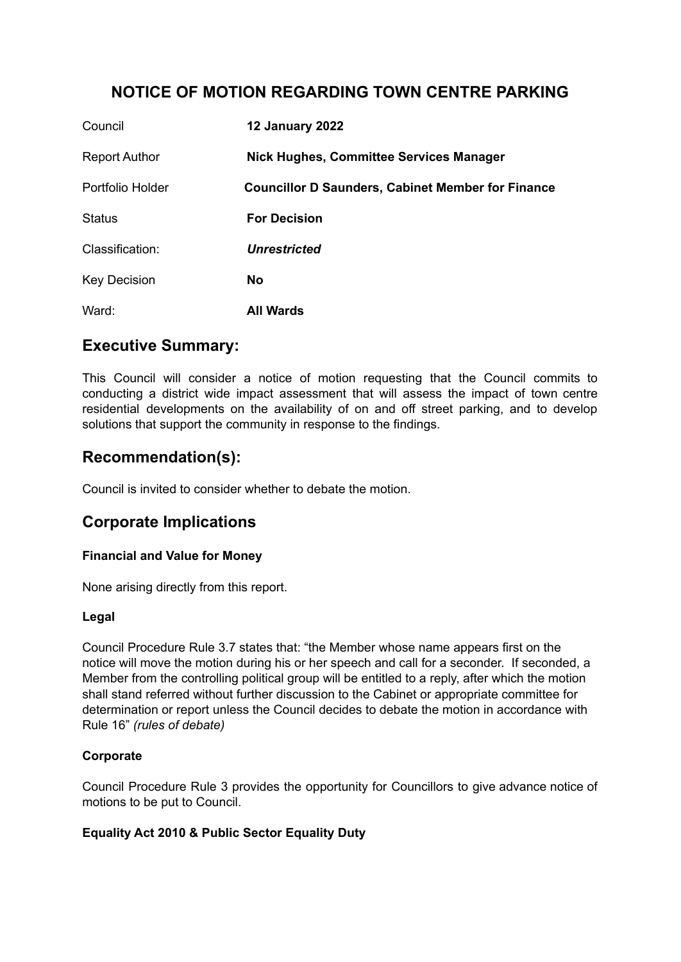# **NOTICE OF MOTION REGARDING TOWN CENTRE PARKING**

| Council              | <b>12 January 2022</b>                                   |
|----------------------|----------------------------------------------------------|
| <b>Report Author</b> | <b>Nick Hughes, Committee Services Manager</b>           |
| Portfolio Holder     | <b>Councillor D Saunders, Cabinet Member for Finance</b> |
| <b>Status</b>        | <b>For Decision</b>                                      |
| Classification:      | <b>Unrestricted</b>                                      |
| <b>Key Decision</b>  | <b>No</b>                                                |
| Ward:                | <b>All Wards</b>                                         |

# **Executive Summary:**

This Council will consider a notice of motion requesting that the Council commits to conducting a district wide impact assessment that will assess the impact of town centre residential developments on the availability of on and off street parking, and to develop solutions that support the community in response to the findings.

# **Recommendation(s):**

Council is invited to consider whether to debate the motion.

# **Corporate Implications**

## **Financial and Value for Money**

None arising directly from this report.

### **Legal**

Council Procedure Rule 3.7 states that: "the Member whose name appears first on the notice will move the motion during his or her speech and call for a seconder. If seconded, a Member from the controlling political group will be entitled to a reply, after which the motion shall stand referred without further discussion to the Cabinet or appropriate committee for determination or report unless the Council decides to debate the motion in accordance with Rule 16" *(rules of debate)*

## **Corporate**

Council Procedure Rule 3 provides the opportunity for Councillors to give advance notice of motions to be put to Council.

## **Equality Act 2010 & Public Sector Equality Duty**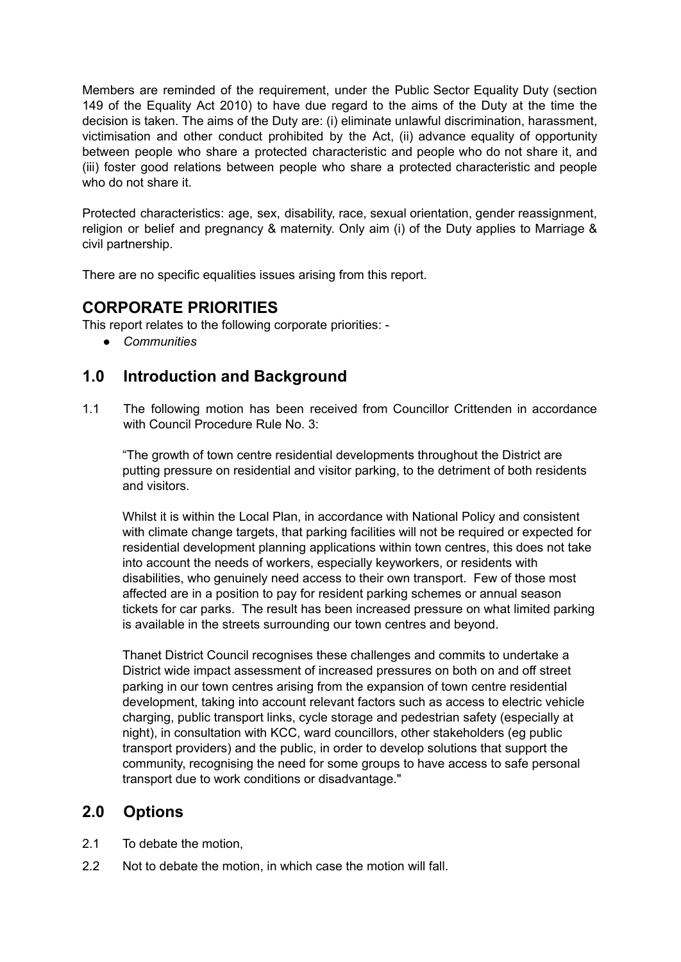Members are reminded of the requirement, under the Public Sector Equality Duty (section 149 of the Equality Act 2010) to have due regard to the aims of the Duty at the time the decision is taken. The aims of the Duty are: (i) eliminate unlawful discrimination, harassment, victimisation and other conduct prohibited by the Act, (ii) advance equality of opportunity between people who share a protected characteristic and people who do not share it, and (iii) foster good relations between people who share a protected characteristic and people who do not share it.

Protected characteristics: age, sex, disability, race, sexual orientation, gender reassignment, religion or belief and pregnancy & maternity. Only aim (i) of the Duty applies to Marriage & civil partnership.

There are no specific equalities issues arising from this report.

# **CORPORATE PRIORITIES**

This report relates to the following corporate priorities: -

*● Communities*

# **1.0 Introduction and Background**

1.1 The following motion has been received from Councillor Crittenden in accordance with Council Procedure Rule No. 3:

"The growth of town centre residential developments throughout the District are putting pressure on residential and visitor parking, to the detriment of both residents and visitors.

Whilst it is within the Local Plan, in accordance with National Policy and consistent with climate change targets, that parking facilities will not be required or expected for residential development planning applications within town centres, this does not take into account the needs of workers, especially keyworkers, or residents with disabilities, who genuinely need access to their own transport. Few of those most affected are in a position to pay for resident parking schemes or annual season tickets for car parks. The result has been increased pressure on what limited parking is available in the streets surrounding our town centres and beyond.

Thanet District Council recognises these challenges and commits to undertake a District wide impact assessment of increased pressures on both on and off street parking in our town centres arising from the expansion of town centre residential development, taking into account relevant factors such as access to electric vehicle charging, public transport links, cycle storage and pedestrian safety (especially at night), in consultation with KCC, ward councillors, other stakeholders (eg public transport providers) and the public, in order to develop solutions that support the community, recognising the need for some groups to have access to safe personal transport due to work conditions or disadvantage."

# **2.0 Options**

- 2.1 To debate the motion,
- 2.2 Not to debate the motion, in which case the motion will fall.